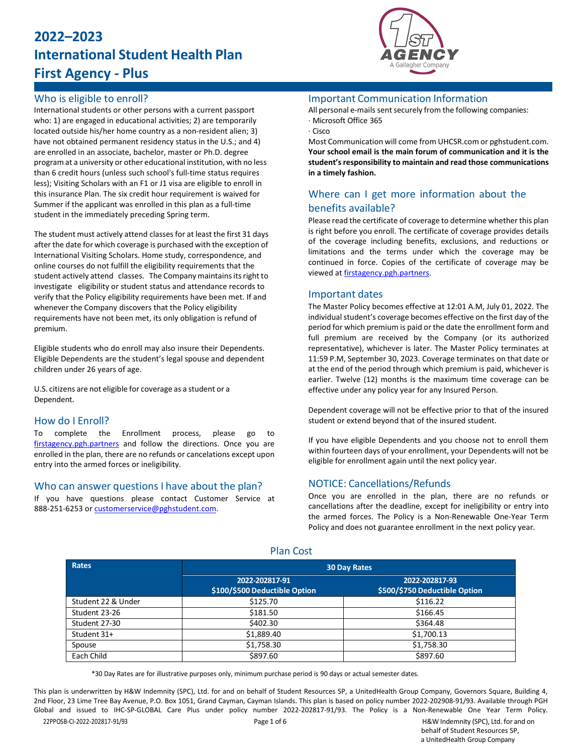# **2022–2023 International Student Health Plan First Agency - Plus**



## Who is eligible to enroll?

International students or other persons with a current passport who: 1) are engaged in educational activities; 2) are temporarily located outside his/her home country as a non-resident alien; 3) have not obtained permanent residency status in the U.S.; and 4) are enrolled in an associate, bachelor, master or Ph.D. degree program at a university or other educational institution, with no less than 6 credit hours (unless such school's full-time status requires less); Visiting Scholars with an F1 or J1 visa are eligible to enroll in this insurance Plan. The six credit hour requirement is waived for Summer if the applicant was enrolled in this plan as a full-time student in the immediately preceding Spring term.

The student must actively attend classes for at least the first 31 days after the date for which coverage is purchased with the exception of International Visiting Scholars. Home study, correspondence, and online courses do not fulfill the eligibility requirements that the student actively attend classes. The Company maintains its right to investigate eligibility or student status and attendance records to verify that the Policy eligibility requirements have been met. If and whenever the Company discovers that the Policy eligibility requirements have not been met, its only obligation is refund of premium.

Eligible students who do enroll may also insure their Dependents. Eligible Dependents are the student's legal spouse and dependent children under 26 years of age.

U.S. citizens are not eligible for coverage as a student or a Dependent.

## How do I Enroll?

To complete the Enrollment process, please go to [firstagency.pgh.partners](https://firstagency.pgh.partners/) and follow the directions. Once you are enrolled in the plan, there are no refunds or cancelations except upon entry into the armed forces or ineligibility.

#### Who can answer questions I have about the plan?

If you have questions please contact Customer Service at 888-251-6253 o[r customerservice@pghstudent.com.](mailto:customerservice@pghstudent.com)

#### Important Communication Information

All personal e-mails sent securely from the following companies: · Microsoft Office 365

· Cisco

Most Communication will come from UHCSR.com or pghstudent.com. **Your school email is the main forum of communication and it is the student'sresponsibility to maintain and read those communications in a timely fashion.**

## Where can I get more information about the benefits available?

Please read the certificate of coverage to determine whether this plan is right before you enroll. The certificate of coverage provides details of the coverage including benefits, exclusions, and reductions or limitations and the terms under which the coverage may be continued in force. Copies of the certificate of coverage may be viewed a[t firstagency.pgh.partners.](https://firstagency.pgh.partners/)

#### Important dates

The Master Policy becomes effective at 12:01 A.M, July 01, 2022. The individual student's coverage becomes effective on the first day of the period for which premium is paid or the date the enrollment form and full premium are received by the Company (or its authorized representative), whichever is later. The Master Policy terminates at 11:59 P.M, September 30, 2023. Coverage terminates on that date or at the end of the period through which premium is paid, whichever is earlier. Twelve (12) months is the maximum time coverage can be effective under any policy year for any Insured Person.

Dependent coverage will not be effective prior to that of the insured student or extend beyond that of the insured student.

If you have eligible Dependents and you choose not to enroll them within fourteen days of your enrollment, your Dependents will not be eligible for enrollment again until the next policy year.

## NOTICE: Cancellations/Refunds

Once you are enrolled in the plan, there are no refunds or cancellations after the deadline, except for ineligibility or entry into the armed forces. The Policy is a Non-Renewable One-Year Term Policy and does not guarantee enrollment in the next policy year.

| Rates              | <b>30 Day Rates</b>                             |                                                 |  |
|--------------------|-------------------------------------------------|-------------------------------------------------|--|
|                    | 2022-202817-91<br>\$100/\$500 Deductible Option | 2022-202817-93<br>\$500/\$750 Deductible Option |  |
| Student 22 & Under | \$125.70                                        | \$116.22                                        |  |
| Student 23-26      | \$181.50                                        | \$166.45                                        |  |
| Student 27-30      | \$402.30                                        | \$364.48                                        |  |
| Student 31+        | \$1,889.40                                      | \$1,700.13                                      |  |
| Spouse             | \$1,758.30                                      | \$1,758.30                                      |  |
| Each Child         | \$897.60                                        | \$897.60                                        |  |

Plan Cost

\*30 Day Rates are for illustrative purposes only, minimum purchase period is 90 days or actual semester dates.

This plan is underwritten by H&W Indemnity (SPC), Ltd. for and on behalf of Student Resources SP, a UnitedHealth Group Company, Governors Square, Building 4, 2nd Floor, 23 Lime Tree Bay Avenue, P.O. Box 1051, Grand Cayman, Cayman Islands. This plan is based on policy number 2022-202908-91/93. Available through PGH Global and issued to IHC-SP-GLOBAL Care Plus under policy number 2022-202817-91/93. The Policy is a Non-Renewable One Year Term Policy.

22PPOSB-CI-2022-202817-91/93 Page 1 of 6 H&W Indemnity (SPC), Ltd. for and on behalf of Student Resources SP, a UnitedHealth Group Company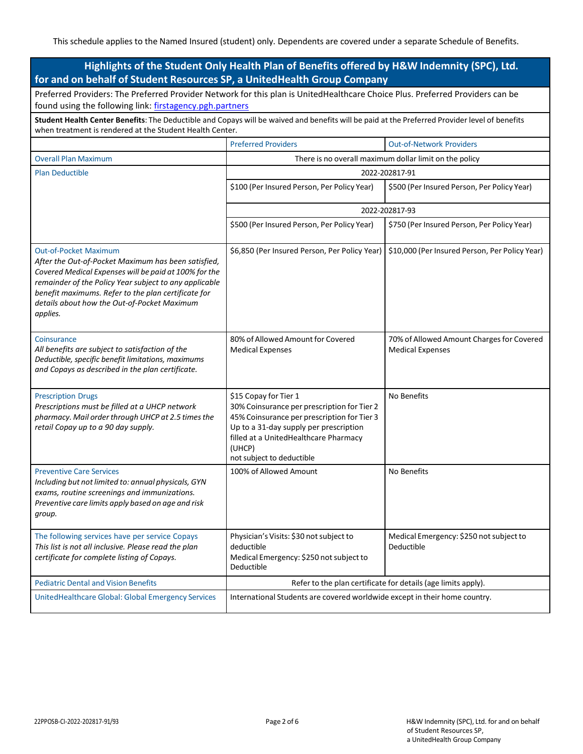| Highlights of the Student Only Health Plan of Benefits offered by H&W Indemnity (SPC), Ltd.<br>for and on behalf of Student Resources SP, a UnitedHealth Group Company                                                                                                                                                   |                                                                                                                                                                                                                                               |                                                                      |  |  |
|--------------------------------------------------------------------------------------------------------------------------------------------------------------------------------------------------------------------------------------------------------------------------------------------------------------------------|-----------------------------------------------------------------------------------------------------------------------------------------------------------------------------------------------------------------------------------------------|----------------------------------------------------------------------|--|--|
| Preferred Providers: The Preferred Provider Network for this plan is UnitedHealthcare Choice Plus. Preferred Providers can be<br>found using the following link: firstagency.pgh.partners                                                                                                                                |                                                                                                                                                                                                                                               |                                                                      |  |  |
| Student Health Center Benefits: The Deductible and Copays will be waived and benefits will be paid at the Preferred Provider level of benefits<br>when treatment is rendered at the Student Health Center.                                                                                                               |                                                                                                                                                                                                                                               |                                                                      |  |  |
|                                                                                                                                                                                                                                                                                                                          | <b>Preferred Providers</b>                                                                                                                                                                                                                    | <b>Out-of-Network Providers</b>                                      |  |  |
| <b>Overall Plan Maximum</b>                                                                                                                                                                                                                                                                                              | There is no overall maximum dollar limit on the policy                                                                                                                                                                                        |                                                                      |  |  |
| <b>Plan Deductible</b>                                                                                                                                                                                                                                                                                                   | 2022-202817-91                                                                                                                                                                                                                                |                                                                      |  |  |
|                                                                                                                                                                                                                                                                                                                          | \$100 (Per Insured Person, Per Policy Year)                                                                                                                                                                                                   | \$500 (Per Insured Person, Per Policy Year)                          |  |  |
|                                                                                                                                                                                                                                                                                                                          | 2022-202817-93                                                                                                                                                                                                                                |                                                                      |  |  |
|                                                                                                                                                                                                                                                                                                                          | \$500 (Per Insured Person, Per Policy Year)                                                                                                                                                                                                   | \$750 (Per Insured Person, Per Policy Year)                          |  |  |
| <b>Out-of-Pocket Maximum</b><br>After the Out-of-Pocket Maximum has been satisfied,<br>Covered Medical Expenses will be paid at 100% for the<br>remainder of the Policy Year subject to any applicable<br>benefit maximums. Refer to the plan certificate for<br>details about how the Out-of-Pocket Maximum<br>applies. | \$6,850 (Per Insured Person, Per Policy Year)                                                                                                                                                                                                 | \$10,000 (Per Insured Person, Per Policy Year)                       |  |  |
| Coinsurance<br>All benefits are subject to satisfaction of the<br>Deductible, specific benefit limitations, maximums<br>and Copays as described in the plan certificate.                                                                                                                                                 | 80% of Allowed Amount for Covered<br><b>Medical Expenses</b>                                                                                                                                                                                  | 70% of Allowed Amount Charges for Covered<br><b>Medical Expenses</b> |  |  |
| <b>Prescription Drugs</b><br>Prescriptions must be filled at a UHCP network<br>pharmacy. Mail order through UHCP at 2.5 times the<br>retail Copay up to a 90 day supply.                                                                                                                                                 | \$15 Copay for Tier 1<br>30% Coinsurance per prescription for Tier 2<br>45% Coinsurance per prescription for Tier 3<br>Up to a 31-day supply per prescription<br>filled at a UnitedHealthcare Pharmacy<br>(UHCP)<br>not subject to deductible | No Benefits                                                          |  |  |
| <b>Preventive Care Services</b><br>Including but not limited to: annual physicals, GYN<br>exams, routine screenings and immunizations.<br>Preventive care limits apply based on age and risk<br>group.                                                                                                                   | 100% of Allowed Amount                                                                                                                                                                                                                        | No Benefits                                                          |  |  |
| The following services have per service Copays<br>This list is not all inclusive. Please read the plan<br>certificate for complete listing of Copays.                                                                                                                                                                    | Physician's Visits: \$30 not subject to<br>deductible<br>Medical Emergency: \$250 not subject to<br>Deductible                                                                                                                                | Medical Emergency: \$250 not subject to<br>Deductible                |  |  |
| <b>Pediatric Dental and Vision Benefits</b>                                                                                                                                                                                                                                                                              | Refer to the plan certificate for details (age limits apply).                                                                                                                                                                                 |                                                                      |  |  |
| UnitedHealthcare Global: Global Emergency Services                                                                                                                                                                                                                                                                       | International Students are covered worldwide except in their home country.                                                                                                                                                                    |                                                                      |  |  |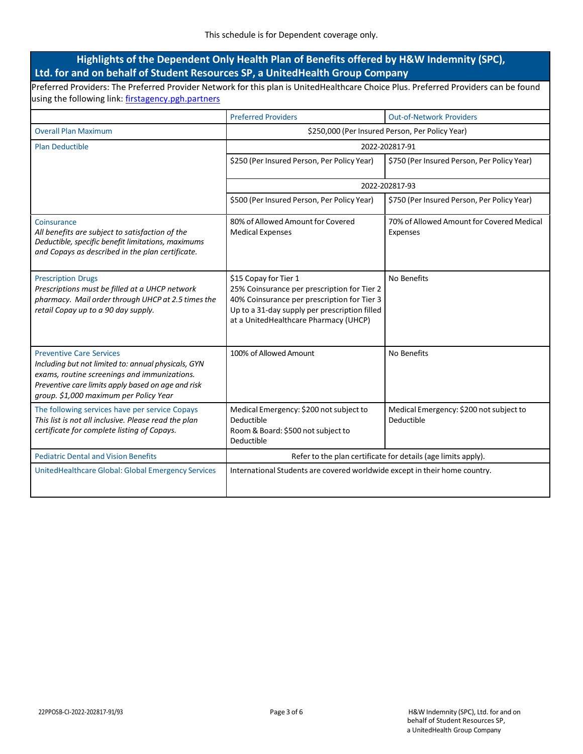## **Highlights of the Dependent Only Health Plan of Benefits offered by H&W Indemnity (SPC), Ltd. for and on behalf of Student Resources SP, a UnitedHealth Group Company**

Preferred Providers: The Preferred Provider Network for this plan is UnitedHealthcare Choice Plus. Preferred Providers can be found using the following link: [firstagency.pgh.partners](https://firstagency.pgh.partners/)

|                                                                                                                                                                                                                                        | <b>Preferred Providers</b>                                                                                                                                                                                    | <b>Out-of-Network Providers</b>                       |  |
|----------------------------------------------------------------------------------------------------------------------------------------------------------------------------------------------------------------------------------------|---------------------------------------------------------------------------------------------------------------------------------------------------------------------------------------------------------------|-------------------------------------------------------|--|
| <b>Overall Plan Maximum</b>                                                                                                                                                                                                            | \$250,000 (Per Insured Person, Per Policy Year)                                                                                                                                                               |                                                       |  |
| <b>Plan Deductible</b>                                                                                                                                                                                                                 | 2022-202817-91                                                                                                                                                                                                |                                                       |  |
|                                                                                                                                                                                                                                        | \$250 (Per Insured Person, Per Policy Year)                                                                                                                                                                   | \$750 (Per Insured Person, Per Policy Year)           |  |
|                                                                                                                                                                                                                                        | 2022-202817-93                                                                                                                                                                                                |                                                       |  |
|                                                                                                                                                                                                                                        | \$500 (Per Insured Person, Per Policy Year)                                                                                                                                                                   | \$750 (Per Insured Person, Per Policy Year)           |  |
| Coinsurance<br>All benefits are subject to satisfaction of the<br>Deductible, specific benefit limitations, maximums<br>and Copays as described in the plan certificate.                                                               | 80% of Allowed Amount for Covered<br><b>Medical Expenses</b>                                                                                                                                                  | 70% of Allowed Amount for Covered Medical<br>Expenses |  |
| <b>Prescription Drugs</b><br>Prescriptions must be filled at a UHCP network<br>pharmacy. Mail order through UHCP at 2.5 times the<br>retail Copay up to a 90 day supply.                                                               | \$15 Copay for Tier 1<br>25% Coinsurance per prescription for Tier 2<br>40% Coinsurance per prescription for Tier 3<br>Up to a 31-day supply per prescription filled<br>at a UnitedHealthcare Pharmacy (UHCP) | No Benefits                                           |  |
| <b>Preventive Care Services</b><br>Including but not limited to: annual physicals, GYN<br>exams, routine screenings and immunizations.<br>Preventive care limits apply based on age and risk<br>group. \$1,000 maximum per Policy Year | 100% of Allowed Amount                                                                                                                                                                                        | No Benefits                                           |  |
| The following services have per service Copays<br>This list is not all inclusive. Please read the plan<br>certificate for complete listing of Copays.                                                                                  | Medical Emergency: \$200 not subject to<br>Deductible<br>Room & Board: \$500 not subject to<br>Deductible                                                                                                     | Medical Emergency: \$200 not subject to<br>Deductible |  |
| <b>Pediatric Dental and Vision Benefits</b>                                                                                                                                                                                            | Refer to the plan certificate for details (age limits apply).                                                                                                                                                 |                                                       |  |
| UnitedHealthcare Global: Global Emergency Services                                                                                                                                                                                     | International Students are covered worldwide except in their home country.                                                                                                                                    |                                                       |  |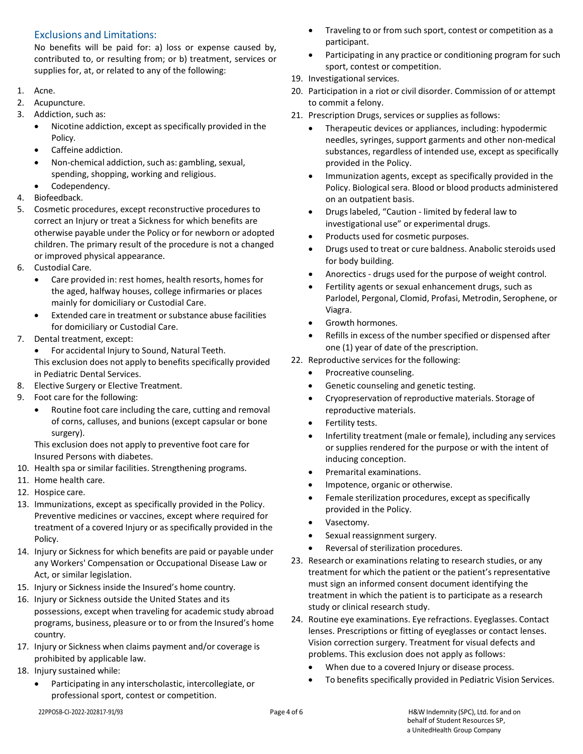## Exclusions and Limitations:

No benefits will be paid for: a) loss or expense caused by, contributed to, or resulting from; or b) treatment, services or supplies for, at, or related to any of the following:

- 1. Acne.
- 2. Acupuncture.
- 3. Addiction, such as:
	- Nicotine addiction, except as specifically provided in the Policy.
	- Caffeine addiction.
	- Non-chemical addiction, such as: gambling, sexual, spending, shopping, working and religious.
	- Codependency.
- 4. Biofeedback.
- 5. Cosmetic procedures, except reconstructive procedures to correct an Injury or treat a Sickness for which benefits are otherwise payable under the Policy or for newborn or adopted children. The primary result of the procedure is not a changed or improved physical appearance.
- 6. Custodial Care.
	- Care provided in: rest homes, health resorts, homes for the aged, halfway houses, college infirmaries or places mainly for domiciliary or Custodial Care.
	- Extended care in treatment or substance abuse facilities for domiciliary or Custodial Care.
- 7. Dental treatment, except:
	- For accidental Injury to Sound, Natural Teeth. This exclusion does not apply to benefits specifically provided in Pediatric Dental Services.
- 8. Elective Surgery or Elective Treatment.
- 9. Foot care for the following:
	- Routine foot care including the care, cutting and removal of corns, calluses, and bunions (except capsular or bone surgery).

This exclusion does not apply to preventive foot care for Insured Persons with diabetes.

- 10. Health spa or similar facilities. Strengthening programs.
- 11. Home health care.
- 12. Hospice care.
- 13. Immunizations, except as specifically provided in the Policy. Preventive medicines or vaccines, except where required for treatment of a covered Injury or as specifically provided in the Policy.
- 14. Injury or Sickness for which benefits are paid or payable under any Workers' Compensation or Occupational Disease Law or Act, or similar legislation.
- 15. Injury or Sickness inside the Insured's home country.
- 16. Injury or Sickness outside the United States and its possessions, except when traveling for academic study abroad programs, business, pleasure or to or from the Insured's home country.
- 17. Injury or Sickness when claims payment and/or coverage is prohibited by applicable law.
- 18. Injury sustained while:
	- Participating in any interscholastic, intercollegiate, or professional sport, contest or competition.
- Traveling to or from such sport, contest or competition as a participant.
- Participating in any practice or conditioning program for such sport, contest or competition.
- 19. Investigational services.
- 20. Participation in a riot or civil disorder. Commission of or attempt to commit a felony.
- 21. Prescription Drugs, services or supplies as follows:
	- Therapeutic devices or appliances, including: hypodermic needles, syringes, support garments and other non-medical substances, regardless of intended use, except as specifically provided in the Policy.
	- Immunization agents, except as specifically provided in the Policy. Biological sera. Blood or blood products administered on an outpatient basis.
	- Drugs labeled, "Caution limited by federal law to investigational use" or experimental drugs.
	- Products used for cosmetic purposes.
	- Drugs used to treat or cure baldness. Anabolic steroids used for body building.
	- Anorectics drugs used for the purpose of weight control.
	- Fertility agents or sexual enhancement drugs, such as Parlodel, Pergonal, Clomid, Profasi, Metrodin, Serophene, or Viagra.
	- Growth hormones.
	- Refills in excess of the number specified or dispensed after one (1) year of date of the prescription.
- 22. Reproductive services for the following:
	- Procreative counseling.
	- Genetic counseling and genetic testing.
	- Cryopreservation of reproductive materials. Storage of reproductive materials.
	- Fertility tests.
	- Infertility treatment (male or female), including any services or supplies rendered for the purpose or with the intent of inducing conception.
	- Premarital examinations.
	- Impotence, organic or otherwise.
	- Female sterilization procedures, except as specifically provided in the Policy.
	- Vasectomy.
	- Sexual reassignment surgery.
	- Reversal of sterilization procedures.
- 23. Research or examinations relating to research studies, or any treatment for which the patient or the patient's representative must sign an informed consent document identifying the treatment in which the patient is to participate as a research study or clinical research study.
- 24. Routine eye examinations. Eye refractions. Eyeglasses. Contact lenses. Prescriptions or fitting of eyeglasses or contact lenses. Vision correction surgery. Treatment for visual defects and problems. This exclusion does not apply as follows:
	- When due to a covered Injury or disease process.
	- To benefits specifically provided in Pediatric Vision Services.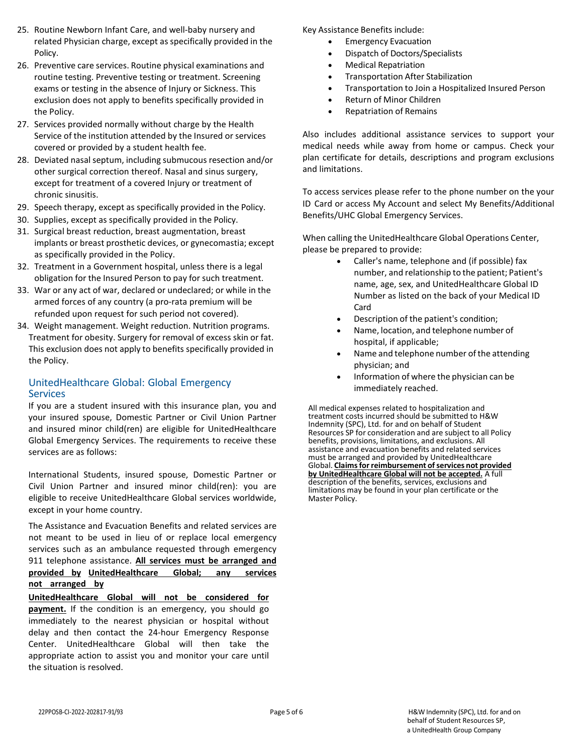- 25. Routine Newborn Infant Care, and well-baby nursery and related Physician charge, except as specifically provided in the Policy.
- 26. Preventive care services. Routine physical examinations and routine testing. Preventive testing or treatment. Screening exams or testing in the absence of Injury or Sickness. This exclusion does not apply to benefits specifically provided in the Policy.
- 27. Services provided normally without charge by the Health Service of the institution attended by the Insured or services covered or provided by a student health fee.
- 28. Deviated nasal septum, including submucous resection and/or other surgical correction thereof. Nasal and sinus surgery, except for treatment of a covered Injury or treatment of chronic sinusitis.
- 29. Speech therapy, except as specifically provided in the Policy.
- 30. Supplies, except as specifically provided in the Policy.
- 31. Surgical breast reduction, breast augmentation, breast implants or breast prosthetic devices, or gynecomastia; except as specifically provided in the Policy.
- 32. Treatment in a Government hospital, unless there is a legal obligation for the Insured Person to pay for such treatment.
- 33. War or any act of war, declared or undeclared; or while in the armed forces of any country (a pro-rata premium will be refunded upon request for such period not covered).
- 34. Weight management. Weight reduction. Nutrition programs. Treatment for obesity. Surgery for removal of excess skin or fat. This exclusion does not apply to benefits specifically provided in the Policy.

## UnitedHealthcare Global: Global Emergency **Services**

If you are a student insured with this insurance plan, you and your insured spouse, Domestic Partner or Civil Union Partner and insured minor child(ren) are eligible for UnitedHealthcare Global Emergency Services. The requirements to receive these services are as follows:

International Students, insured spouse, Domestic Partner or Civil Union Partner and insured minor child(ren): you are eligible to receive UnitedHealthcare Global services worldwide, except in your home country.

The Assistance and Evacuation Benefits and related services are not meant to be used in lieu of or replace local emergency services such as an ambulance requested through emergency 911 telephone assistance. **All services must be arranged and provided by UnitedHealthcare Global; any services not arranged by**

**UnitedHealthcare Global will not be considered for payment.** If the condition is an emergency, you should go immediately to the nearest physician or hospital without delay and then contact the 24-hour Emergency Response Center. UnitedHealthcare Global will then take the appropriate action to assist you and monitor your care until the situation is resolved.

Key Assistance Benefits include:

- Emergency Evacuation
- Dispatch of Doctors/Specialists
- Medical Repatriation
- Transportation After Stabilization
- Transportation to Join a Hospitalized Insured Person
- Return of Minor Children
- Repatriation of Remains

Also includes additional assistance services to support your medical needs while away from home or campus. Check your plan certificate for details, descriptions and program exclusions and limitations.

To access services please refer to the phone number on the your ID Card or access My Account and select My Benefits/Additional Benefits/UHC Global Emergency Services.

When calling the UnitedHealthcare Global Operations Center, please be prepared to provide:

- Caller's name, telephone and (if possible) fax number, and relationship to the patient; Patient's name, age, sex, and UnitedHealthcare Global ID Number as listed on the back of your Medical ID Card
- Description of the patient's condition;
- Name, location, and telephone number of hospital, if applicable;
- Name and telephone number of the attending physician; and
- Information of where the physician can be immediately reached.

All medical expenses related to hospitalization and treatment costs incurred should be submitted to H&W Indemnity (SPC), Ltd. for and on behalf of Student Resources SP for consideration and are subject to all Policy benefits, provisions, limitations, and exclusions. All assistance and evacuation benefits and related services must be arranged and provided by UnitedHealthcare Global. **Claimsfor reimbursement ofservices not provided by UnitedHealthcare Global will not be accepted.** A full description of the benefits, services, exclusions and limitations may be found in your plan certificate or the Master Policy.